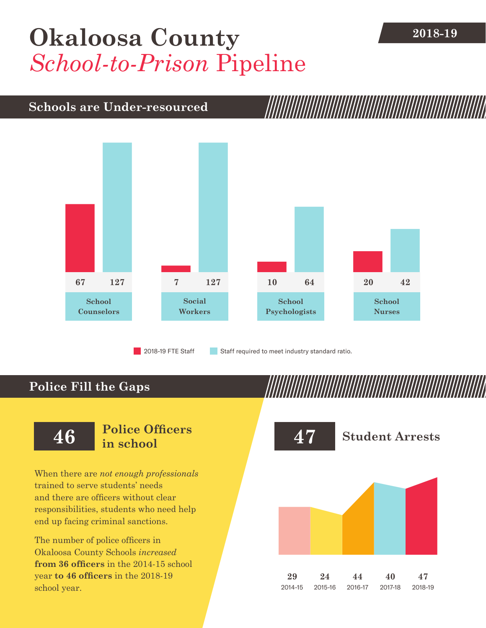## [Okaloosa County](DBF_County) 2018-19 *School-to-Prison* Pipeline

## **Schools are Under-resourced**



2018-19 FTE Staff **Staff required to meet industry standard ratio.** 

## **Police Fill the Gaps**

When there are *not enough professionals* trained to serve students' needs and there are officers without clear responsibilities, students who need help end up facing criminal sanctions.

The number of police officers in [Okaloosa County](DBF_County) Schools *increased* **from [36](DBF_PO1415) officers** in the 2014-15 school year **to [46](DBF_PO) officers** in the 2018-19 school year.